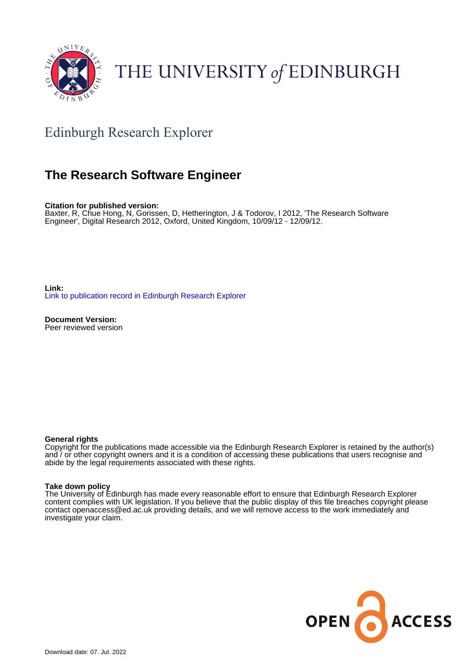

# THE UNIVERSITY of EDINBURGH

## Edinburgh Research Explorer

## **The Research Software Engineer**

**Citation for published version:**

Baxter, R, Chue Hong, N, Gorissen, D, Hetherington, J & Todorov, I 2012, 'The Research Software Engineer', Digital Research 2012, Oxford, United Kingdom, 10/09/12 - 12/09/12.

**Link:** [Link to publication record in Edinburgh Research Explorer](https://www.research.ed.ac.uk/en/publications/e8416ad7-750f-442f-9b17-d812b9bb414d)

**Document Version:** Peer reviewed version

#### **General rights**

Copyright for the publications made accessible via the Edinburgh Research Explorer is retained by the author(s) and / or other copyright owners and it is a condition of accessing these publications that users recognise and abide by the legal requirements associated with these rights.

#### **Take down policy**

The University of Edinburgh has made every reasonable effort to ensure that Edinburgh Research Explorer content complies with UK legislation. If you believe that the public display of this file breaches copyright please contact openaccess@ed.ac.uk providing details, and we will remove access to the work immediately and investigate your claim.

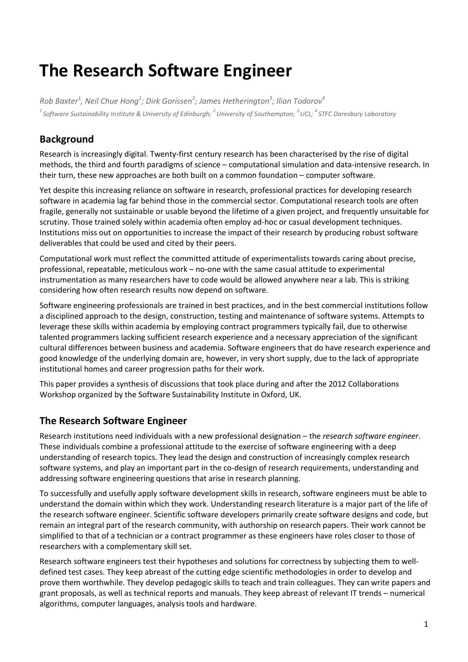# **The Research Software Engineer**

*Rob Baxter<sup>1</sup> , Neil Chue Hong<sup>1</sup> ; Dirk Gorissen<sup>2</sup> ; James Hetherington<sup>3</sup> ; Ilian Todorov<sup>4</sup> 1 Software Sustainability Institute & University of Edinburgh; <sup>2</sup> University of Southampton; <sup>3</sup> UCL; <sup>4</sup> STFC Daresbury Laboratory*

### **Background**

Research is increasingly digital. Twenty-first century research has been characterised by the rise of digital methods, the third and fourth paradigms of science – computational simulation and data-intensive research. In their turn, these new approaches are both built on a common foundation – computer software.

Yet despite this increasing reliance on software in research, professional practices for developing research software in academia lag far behind those in the commercial sector. Computational research tools are often fragile, generally not sustainable or usable beyond the lifetime of a given project, and frequently unsuitable for scrutiny. Those trained solely within academia often employ ad-hoc or casual development techniques. Institutions miss out on opportunities to increase the impact of their research by producing robust software deliverables that could be used and cited by their peers.

Computational work must reflect the committed attitude of experimentalists towards caring about precise, professional, repeatable, meticulous work – no-one with the same casual attitude to experimental instrumentation as many researchers have to code would be allowed anywhere near a lab. This is striking considering how often research results now depend on software.

Software engineering professionals are trained in best practices, and in the best commercial institutions follow a disciplined approach to the design, construction, testing and maintenance of software systems. Attempts to leverage these skills within academia by employing contract programmers typically fail, due to otherwise talented programmers lacking sufficient research experience and a necessary appreciation of the significant cultural differences between business and academia. Software engineers that do have research experience and good knowledge of the underlying domain are, however, in very short supply, due to the lack of appropriate institutional homes and career progression paths for their work.

This paper provides a synthesis of discussions that took place during and after the 2012 Collaborations Workshop organized by the Software Sustainability Institute in Oxford, UK.

### **The Research Software Engineer**

Research institutions need individuals with a new professional designation – the *research software engineer*. These individuals combine a professional attitude to the exercise of software engineering with a deep understanding of research topics. They lead the design and construction of increasingly complex research software systems, and play an important part in the co-design of research requirements, understanding and addressing software engineering questions that arise in research planning.

To successfully and usefully apply software development skills in research, software engineers must be able to understand the domain within which they work. Understanding research literature is a major part of the life of the research software engineer. Scientific software developers primarily create software designs and code, but remain an integral part of the research community, with authorship on research papers. Their work cannot be simplified to that of a technician or a contract programmer as these engineers have roles closer to those of researchers with a complementary skill set.

Research software engineers test their hypotheses and solutions for correctness by subjecting them to welldefined test cases. They keep abreast of the cutting edge scientific methodologies in order to develop and prove them worthwhile. They develop pedagogic skills to teach and train colleagues. They can write papers and grant proposals, as well as technical reports and manuals. They keep abreast of relevant IT trends – numerical algorithms, computer languages, analysis tools and hardware.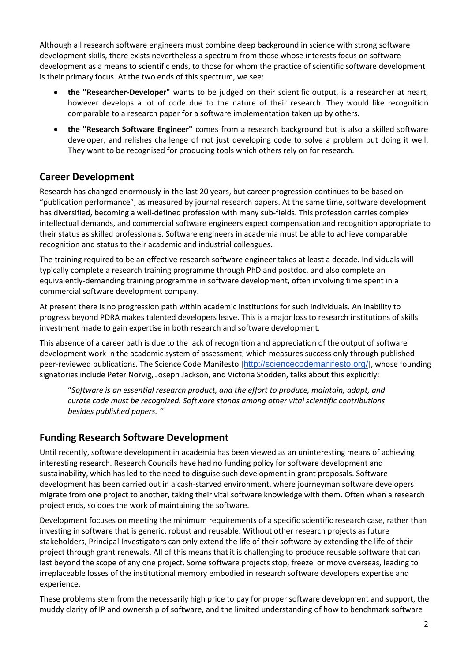Although all research software engineers must combine deep background in science with strong software development skills, there exists nevertheless a spectrum from those whose interests focus on software development as a means to scientific ends, to those for whom the practice of scientific software development is their primary focus. At the two ends of this spectrum, we see:

- **the "Researcher-Developer"** wants to be judged on their scientific output, is a researcher at heart, however develops a lot of code due to the nature of their research. They would like recognition comparable to a research paper for a software implementation taken up by others.
- **the "Research Software Engineer"** comes from a research background but is also a skilled software developer, and relishes challenge of not just developing code to solve a problem but doing it well. They want to be recognised for producing tools which others rely on for research.

#### **Career Development**

Research has changed enormously in the last 20 years, but career progression continues to be based on "publication performance", as measured by journal research papers. At the same time, software development has diversified, becoming a well-defined profession with many sub-fields. This profession carries complex intellectual demands, and commercial software engineers expect compensation and recognition appropriate to their status as skilled professionals. Software engineers in academia must be able to achieve comparable recognition and status to their academic and industrial colleagues.

The training required to be an effective research software engineer takes at least a decade. Individuals will typically complete a research training programme through PhD and postdoc, and also complete an equivalently-demanding training programme in software development, often involving time spent in a commercial software development company.

At present there is no progression path within academic institutions for such individuals. An inability to progress beyond PDRA makes talented developers leave. This is a major loss to research institutions of skills investment made to gain expertise in both research and software development.

This absence of a career path is due to the lack of recognition and appreciation of the output of software development work in the academic system of assessment, which measures success only through published peer-reviewed publications. The Science Code Manifesto [<http://sciencecodemanifesto.org/>], whose founding signatories include Peter Norvig, Joseph Jackson, and Victoria Stodden, talks about this explicitly:

"*Software is an essential research product, and the effort to produce, maintain, adapt, and curate code must be recognized. Software stands among other vital scientific contributions besides published papers. "*

#### **Funding Research Software Development**

Until recently, software development in academia has been viewed as an uninteresting means of achieving interesting research. Research Councils have had no funding policy for software development and sustainability, which has led to the need to disguise such development in grant proposals. Software development has been carried out in a cash-starved environment, where journeyman software developers migrate from one project to another, taking their vital software knowledge with them. Often when a research project ends, so does the work of maintaining the software.

Development focuses on meeting the minimum requirements of a specific scientific research case, rather than investing in software that is generic, robust and reusable. Without other research projects as future stakeholders, Principal Investigators can only extend the life of their software by extending the life of their project through grant renewals. All of this means that it is challenging to produce reusable software that can last beyond the scope of any one project. Some software projects stop, freeze or move overseas, leading to irreplaceable losses of the institutional memory embodied in research software developers expertise and experience.

These problems stem from the necessarily high price to pay for proper software development and support, the muddy clarity of IP and ownership of software, and the limited understanding of how to benchmark software